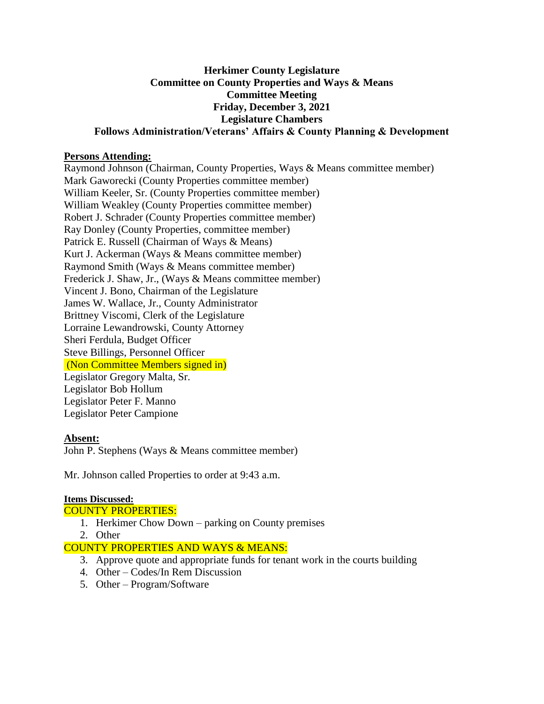### **Herkimer County Legislature Committee on County Properties and Ways & Means Committee Meeting Friday, December 3, 2021 Legislature Chambers Follows Administration/Veterans' Affairs & County Planning & Development**

### **Persons Attending:**

Raymond Johnson (Chairman, County Properties, Ways & Means committee member) Mark Gaworecki (County Properties committee member) William Keeler, Sr. (County Properties committee member) William Weakley (County Properties committee member) Robert J. Schrader (County Properties committee member) Ray Donley (County Properties, committee member) Patrick E. Russell (Chairman of Ways & Means) Kurt J. Ackerman (Ways & Means committee member) Raymond Smith (Ways & Means committee member) Frederick J. Shaw, Jr., (Ways & Means committee member) Vincent J. Bono, Chairman of the Legislature James W. Wallace, Jr., County Administrator Brittney Viscomi, Clerk of the Legislature Lorraine Lewandrowski, County Attorney Sheri Ferdula, Budget Officer Steve Billings, Personnel Officer (Non Committee Members signed in) Legislator Gregory Malta, Sr. Legislator Bob Hollum Legislator Peter F. Manno Legislator Peter Campione

### **Absent:**

John P. Stephens (Ways & Means committee member)

Mr. Johnson called Properties to order at 9:43 a.m.

### **Items Discussed:**

# COUNTY PROPERTIES:

- 1. Herkimer Chow Down parking on County premises
- 2. Other

### COUNTY PROPERTIES AND WAYS & MEANS:

- 3. Approve quote and appropriate funds for tenant work in the courts building
- 4. Other Codes/In Rem Discussion
- 5. Other Program/Software